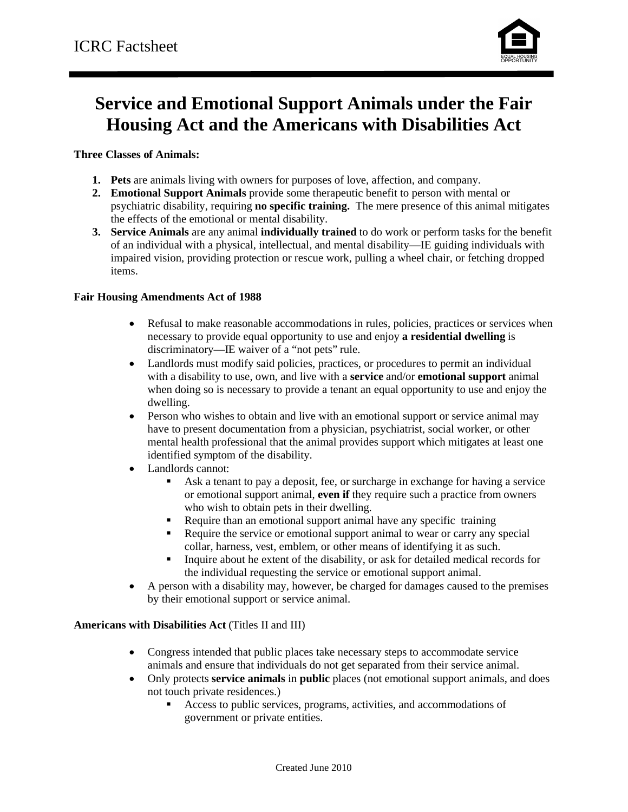

## **Service and Emotional Support Animals under the Fair Housing Act and the Americans with Disabilities Act**

**Three Classes of Animals:**

- **1. Pets** are animals living with owners for purposes of love, affection, and company.
- **2. Emotional Support Animals** provide some therapeutic benefit to person with mental or psychiatric disability, requiring **no specific training.** The mere presence of this animal mitigates the effects of the emotional or mental disability.
- **3. Service Animals** are any animal **individually trained** to do work or perform tasks for the benefit of an individual with a physical, intellectual, and mental disability—IE guiding individuals with impaired vision, providing protection or rescue work, pulling a wheel chair, or fetching dropped items.

### **Fair Housing Amendments Act of 1988**

- Refusal to make reasonable accommodations in rules, policies, practices or services when necessary to provide equal opportunity to use and enjoy **a residential dwelling** is discriminatory—IE waiver of a "not pets" rule.
- Landlords must modify said policies, practices, or procedures to permit an individual with a disability to use, own, and live with a **service** and/or **emotional support** animal when doing so is necessary to provide a tenant an equal opportunity to use and enjoy the dwelling.
- Person who wishes to obtain and live with an emotional support or service animal may have to present documentation from a physician, psychiatrist, social worker, or other mental health professional that the animal provides support which mitigates at least one identified symptom of the disability.
- Landlords cannot:
	- Ask a tenant to pay a deposit, fee, or surcharge in exchange for having a service or emotional support animal, **even if** they require such a practice from owners who wish to obtain pets in their dwelling.
	- Require than an emotional support animal have any specific training
	- Require the service or emotional support animal to wear or carry any special collar, harness, vest, emblem, or other means of identifying it as such.
	- Inquire about he extent of the disability, or ask for detailed medical records for the individual requesting the service or emotional support animal.
- A person with a disability may, however, be charged for damages caused to the premises by their emotional support or service animal.

#### **Americans with Disabilities Act** (Titles II and III)

- Congress intended that public places take necessary steps to accommodate service animals and ensure that individuals do not get separated from their service animal.
- Only protects **service animals** in **public** places (not emotional support animals, and does not touch private residences.)
	- Access to public services, programs, activities, and accommodations of government or private entities.